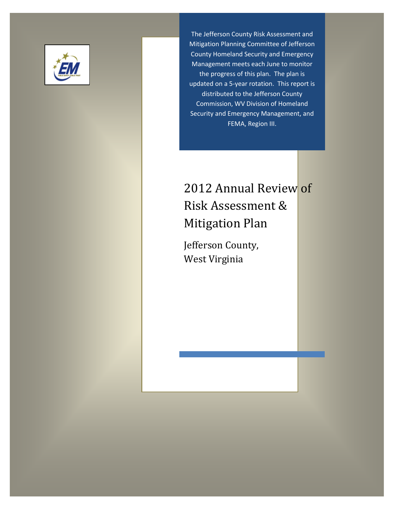

The Jefferson County Risk Assessment and Mitigation Planning Committee of Jefferson County Homeland Security and Emergency Management meets each June to monitor the progress of this plan. The plan is updated on a 5-year rotation. This report is distributed to the Jefferson County Commission, WV Division of Homeland Security and Emergency Management, and FEMA, Region III.

# 2012 Annual Review of Risk Assessment & Mitigation Plan

Jefferson County, West Virginia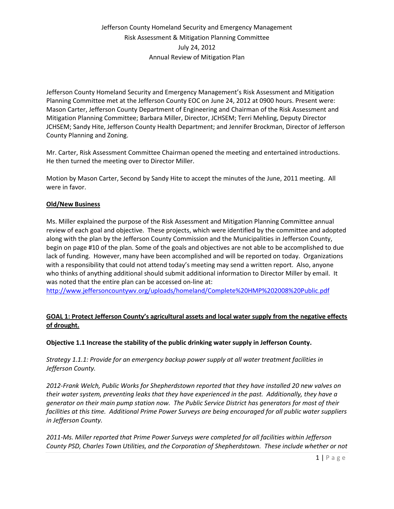Jefferson County Homeland Security and Emergency Management's Risk Assessment and Mitigation Planning Committee met at the Jefferson County EOC on June 24, 2012 at 0900 hours. Present were: Mason Carter, Jefferson County Department of Engineering and Chairman of the Risk Assessment and Mitigation Planning Committee; Barbara Miller, Director, JCHSEM; Terri Mehling, Deputy Director JCHSEM; Sandy Hite, Jefferson County Health Department; and Jennifer Brockman, Director of Jefferson County Planning and Zoning.

Mr. Carter, Risk Assessment Committee Chairman opened the meeting and entertained introductions. He then turned the meeting over to Director Miller.

Motion by Mason Carter, Second by Sandy Hite to accept the minutes of the June, 2011 meeting. All were in favor.

### **Old/New Business**

Ms. Miller explained the purpose of the Risk Assessment and Mitigation Planning Committee annual review of each goal and objective. These projects, which were identified by the committee and adopted along with the plan by the Jefferson County Commission and the Municipalities in Jefferson County, begin on page #10 of the plan. Some of the goals and objectives are not able to be accomplished to due lack of funding. However, many have been accomplished and will be reported on today. Organizations with a responsibility that could not attend today's meeting may send a written report. Also, anyone who thinks of anything additional should submit additional information to Director Miller by email. It was noted that the entire plan can be accessed on-line at:

<http://www.jeffersoncountywv.org/uploads/homeland/Complete%20HMP%202008%20Public.pdf>

### **GOAL 1: Protect Jefferson County's agricultural assets and local water supply from the negative effects of drought.**

**Objective 1.1 Increase the stability of the public drinking water supply in Jefferson County.**

*Strategy 1.1.1: Provide for an emergency backup power supply at all water treatment facilities in Jefferson County.*

*2012-Frank Welch, Public Works for Shepherdstown reported that they have installed 20 new valves on their water system, preventing leaks that they have experienced in the past. Additionally, they have a generator on their main pump station now. The Public Service District has generators for most of their facilities at this time. Additional Prime Power Surveys are being encouraged for all public water suppliers in Jefferson County.*

*2011-Ms. Miller reported that Prime Power Surveys were completed for all facilities within Jefferson County PSD, Charles Town Utilities, and the Corporation of Shepherdstown. These include whether or not*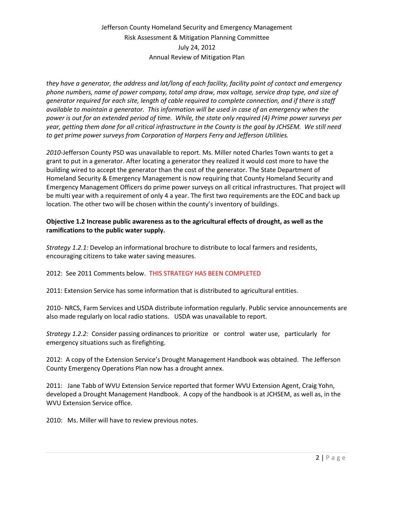*they have a generator, the address and lat/long of each facility, facility point of contact and emergency phone numbers, name of power company, total amp draw, max voltage, service drop type, and size of generator required for each site, length of cable required to complete connection, and if there is staff available to maintain a generator. This information will be used in case of an emergency when the power is out for an extended period of time. While, the state only required (4) Prime power surveys per year, getting them done for all critical infrastructure in the County is the goal by JCHSEM. We still need to get prime power surveys from Corporation of Harpers Ferry and Jefferson Utilities.*

*2010-*Jefferson County PSD was unavailable to report. Ms. Miller noted Charles Town wants to get a grant to put in a generator. After locating a generator they realized it would cost more to have the building wired to accept the generator than the cost of the generator. The State Department of Homeland Security & Emergency Management is now requiring that County Homeland Security and Emergency Management Officers do prime power surveys on all critical infrastructures. That project will be multi year with a requirement of only 4 a year. The first two requirements are the EOC and back up location. The other two will be chosen within the county's inventory of buildings.

### **Objective 1.2 Increase public awareness as to the agricultural effects of drought, as well as the ramifications to the public water supply.**

*Strategy 1.2.1:* Develop an informational brochure to distribute to local farmers and residents, encouraging citizens to take water saving measures.

### 2012: See 2011 Comments below. THIS STRATEGY HAS BEEN COMPLETED

2011: Extension Service has some information that is distributed to agricultural entities.

2010- NRCS, Farm Services and USDA distribute information regularly. Public service announcements are also made regularly on local radio stations. USDA was unavailable to report.

*Strategy 1.2.2:* Consider passing ordinances to prioritize or control water use, particularly for emergency situations such as firefighting.

2012: A copy of the Extension Service's Drought Management Handbook was obtained. The Jefferson County Emergency Operations Plan now has a drought annex.

2011: Jane Tabb of WVU Extension Service reported that former WVU Extension Agent, Craig Yohn, developed a Drought Management Handbook. A copy of the handbook is at JCHSEM, as well as, in the WVU Extension Service office.

2010: Ms. Miller will have to review previous notes.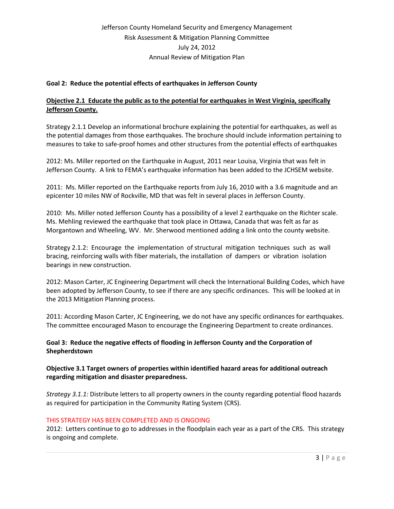### **Goal 2: Reduce the potential effects of earthquakes in Jefferson County**

### **Objective 2.1 Educate the public as to the potential for earthquakes in West Virginia, specifically Jefferson County.**

Strategy 2.1.1 Develop an informational brochure explaining the potential for earthquakes, as well as the potential damages from those earthquakes. The brochure should include information pertaining to measures to take to safe-proof homes and other structures from the potential effects of earthquakes

2012: Ms. Miller reported on the Earthquake in August, 2011 near Louisa, Virginia that was felt in Jefferson County. A link to FEMA's earthquake information has been added to the JCHSEM website.

2011: Ms. Miller reported on the Earthquake reports from July 16, 2010 with a 3.6 magnitude and an epicenter 10 miles NW of Rockville, MD that was felt in several places in Jefferson County.

2010: Ms. Miller noted Jefferson County has a possibility of a level 2 earthquake on the Richter scale. Ms. Mehling reviewed the earthquake that took place in Ottawa, Canada that was felt as far as Morgantown and Wheeling, WV. Mr. Sherwood mentioned adding a link onto the county website.

Strategy 2.1.2: Encourage the implementation of structural mitigation techniques such as wall bracing, reinforcing walls with fiber materials, the installation of dampers or vibration isolation bearings in new construction.

2012: Mason Carter, JC Engineering Department will check the International Building Codes, which have been adopted by Jefferson County, to see if there are any specific ordinances. This will be looked at in the 2013 Mitigation Planning process.

2011: According Mason Carter, JC Engineering, we do not have any specific ordinances for earthquakes. The committee encouraged Mason to encourage the Engineering Department to create ordinances.

### **Goal 3: Reduce the negative effects of flooding in Jefferson County and the Corporation of Shepherdstown**

**Objective 3.1 Target owners of properties within identified hazard areas for additional outreach regarding mitigation and disaster preparedness.**

*Strategy 3.1.1:* Distribute letters to all property owners in the county regarding potential flood hazards as required for participation in the Community Rating System (CRS).

### THIS STRATEGY HAS BEEN COMPLETED AND IS ONGOING

2012: Letters continue to go to addresses in the floodplain each year as a part of the CRS. This strategy is ongoing and complete.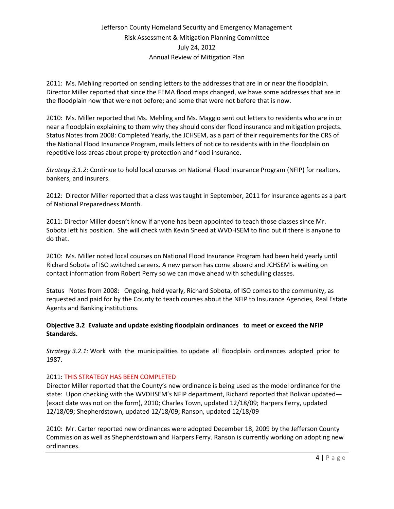2011: Ms. Mehling reported on sending letters to the addresses that are in or near the floodplain. Director Miller reported that since the FEMA flood maps changed, we have some addresses that are in the floodplain now that were not before; and some that were not before that is now.

2010: Ms. Miller reported that Ms. Mehling and Ms. Maggio sent out letters to residents who are in or near a floodplain explaining to them why they should consider flood insurance and mitigation projects. Status Notes from 2008: Completed Yearly, the JCHSEM, as a part of their requirements for the CRS of the National Flood Insurance Program, mails letters of notice to residents with in the floodplain on repetitive loss areas about property protection and flood insurance.

*Strategy 3.1.2:* Continue to hold local courses on National Flood Insurance Program (NFIP) for realtors, bankers, and insurers.

2012: Director Miller reported that a class was taught in September, 2011 for insurance agents as a part of National Preparedness Month.

2011: Director Miller doesn't know if anyone has been appointed to teach those classes since Mr. Sobota left his position. She will check with Kevin Sneed at WVDHSEM to find out if there is anyone to do that.

2010: Ms. Miller noted local courses on National Flood Insurance Program had been held yearly until Richard Sobota of ISO switched careers. A new person has come aboard and JCHSEM is waiting on contact information from Robert Perry so we can move ahead with scheduling classes.

Status Notes from 2008: Ongoing, held yearly, Richard Sobota, of ISO comes to the community, as requested and paid for by the County to teach courses about the NFIP to Insurance Agencies, Real Estate Agents and Banking institutions.

### **Objective 3.2 Evaluate and update existing floodplain ordinances to meet or exceed the NFIP Standards.**

*Strategy 3.2.1:* Work with the municipalities to update all floodplain ordinances adopted prior to 1987.

### 2011: THIS STRATEGY HAS BEEN COMPLETED

Director Miller reported that the County's new ordinance is being used as the model ordinance for the state: Upon checking with the WVDHSEM's NFIP department, Richard reported that Bolivar updated— (exact date was not on the form), 2010; Charles Town, updated 12/18/09; Harpers Ferry, updated 12/18/09; Shepherdstown, updated 12/18/09; Ranson, updated 12/18/09

2010: Mr. Carter reported new ordinances were adopted December 18, 2009 by the Jefferson County Commission as well as Shepherdstown and Harpers Ferry. Ranson is currently working on adopting new ordinances.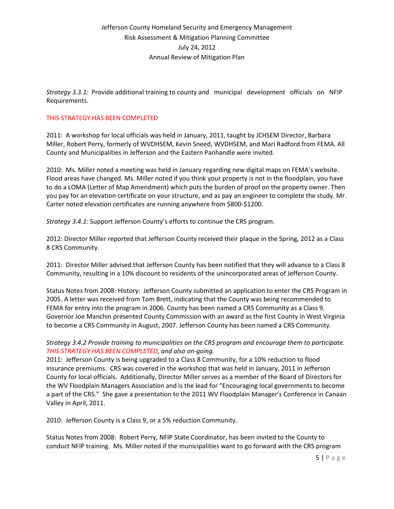*Strategy 3.3.1:* Provide additional training to county and municipal development officials on NFIP Requirements.

#### THIS STRATEGY HAS BEEN COMPLETED

2011: A workshop for local officials was held in January, 2011, taught by JCHSEM Director, Barbara Miller, Robert Perry, formerly of WVDHSEM, Kevin Sneed, WVDHSEM, and Mari Radford from FEMA. All County and Municipalities in Jefferson and the Eastern Panhandle were invited.

2010: Ms. Miller noted a meeting was held in January regarding new digital maps on FEMA's website. Flood areas have changed. Ms. Miller noted if you think your property is not in the floodplain, you have to do a LOMA (Letter of Map Amendment) which puts the burden of proof on the property owner. Then you pay for an elevation certificate on your structure, and as pay an engineer to complete the study. Mr. Carter noted elevation certificates are running anywhere from \$800-\$1200.

*Strategy 3.4.1:* Support Jefferson County's efforts to continue the CRS program.

2012: Director Miller reported that Jefferson County received their plaque in the Spring, 2012 as a Class 8 CRS Community.

2011: Director Miller advised that Jefferson County has been notified that they will advance to a Class 8 Community, resulting in a 10% discount to residents of the unincorporated areas of Jefferson County.

Status Notes from 2008: History: Jefferson County submitted an application to enter the CRS Program in 2005. A letter was received from Tom Brett, indicating that the County was being recommended to FEMA for entry into the program in 2006. County has been named a CRS Community as a Class 9. Governor Joe Manchin presented County Commission with an award as the first County in West Virginia to become a CRS Community in August, 2007. Jefferson County has been named a CRS Community.

### *Strategy 3.4.2 Provide training to municipalities on the CRS program and encourage them to participate. THIS STRATEGY HAS BEEN COMPLETED, and also on-going.*

2011: Jefferson County is being upgraded to a Class 8 Community, for a 10% reduction to flood insurance premiums. CRS was covered in the workshop that was held in January, 2011 in Jefferson County for local officials. Additionally, Director Miller serves as a member of the Board of Directors for the WV Floodplain Managers Association and is the lead for "Encouraging local governments to become a part of the CRS." She gave a presentation to the 2011 WV Floodplain Manager's Conference in Canaan Valley in April, 2011.

2010: Jefferson County is a Class 9, or a 5% reduction Community.

Status Notes from 2008: Robert Perry, NFIP State Coordinator, has been invited to the County to conduct NFIP training. Ms. Miller noted if the municipalities want to go forward with the CRS program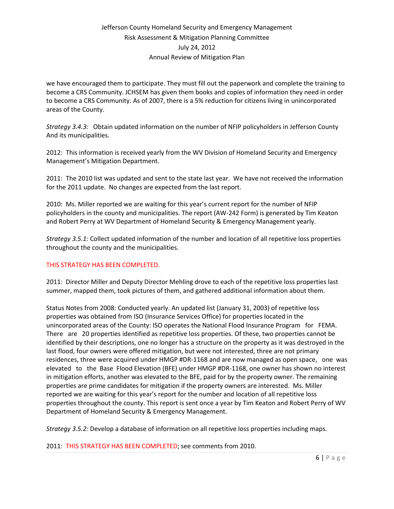we have encouraged them to participate. They must fill out the paperwork and complete the training to become a CRS Community. JCHSEM has given them books and copies of information they need in order to become a CRS Community. As of 2007, there is a 5% reduction for citizens living in unincorporated areas of the County.

*Strategy 3.4.3:* Obtain updated information on the number of NFIP policyholders in Jefferson County And its municipalities.

2012: This information is received yearly from the WV Division of Homeland Security and Emergency Management's Mitigation Department.

2011: The 2010 list was updated and sent to the state last year. We have not received the information for the 2011 update. No changes are expected from the last report.

2010: Ms. Miller reported we are waiting for this year's current report for the number of NFIP policyholders in the county and municipalities. The report (AW-242 Form) is generated by Tim Keaton and Robert Perry at WV Department of Homeland Security & Emergency Management yearly.

*Strategy 3.5.1:* Collect updated information of the number and location of all repetitive loss properties throughout the county and the municipalities.

### THIS STRATEGY HAS BEEN COMPLETED.

2011: Director Miller and Deputy Director Mehling drove to each of the repetitive loss properties last summer, mapped them, took pictures of them, and gathered additional information about them.

Status Notes from 2008: Conducted yearly. An updated list (January 31, 2003) of repetitive loss properties was obtained from ISO (Insurance Services Office) for properties located in the unincorporated areas of the County: ISO operates the National Flood Insurance Program for FEMA. There are 20 properties identified as repetitive loss properties. Of these, two properties cannot be identified by their descriptions, one no longer has a structure on the property as it was destroyed in the last flood, four owners were offered mitigation, but were not interested, three are not primary residences, three were acquired under HMGP #DR-1168 and are now managed as open space, one was elevated to the Base Flood Elevation (BFE) under HMGP #DR-1168, one owner has shown no interest in mitigation efforts, another was elevated to the BFE, paid for by the property owner. The remaining properties are prime candidates for mitigation if the property owners are interested. Ms. Miller reported we are waiting for this year's report for the number and location of all repetitive loss properties throughout the county. This report is sent once a year by Tim Keaton and Robert Perry of WV Department of Homeland Security & Emergency Management.

*Strategy 3.5.2:* Develop a database of information on all repetitive loss properties including maps.

2011: THIS STRATEGY HAS BEEN COMPLETED; see comments from 2010.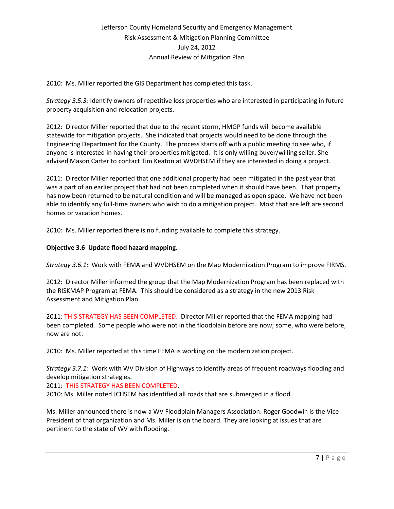2010: Ms. Miller reported the GIS Department has completed this task.

*Strategy 3.5.3:* Identify owners of repetitive loss properties who are interested in participating in future property acquisition and relocation projects.

2012: Director Miller reported that due to the recent storm, HMGP funds will become available statewide for mitigation projects. She indicated that projects would need to be done through the Engineering Department for the County. The process starts off with a public meeting to see who, if anyone is interested in having their properties mitigated. It is only willing buyer/willing seller. She advised Mason Carter to contact Tim Keaton at WVDHSEM if they are interested in doing a project.

2011: Director Miller reported that one additional property had been mitigated in the past year that was a part of an earlier project that had not been completed when it should have been. That property has now been returned to be natural condition and will be managed as open space. We have not been able to identify any full-time owners who wish to do a mitigation project. Most that are left are second homes or vacation homes.

2010: Ms. Miller reported there is no funding available to complete this strategy.

### **Objective 3.6 Update flood hazard mapping.**

*Strategy 3.6.1:* Work with FEMA and WVDHSEM on the Map Modernization Program to improve FIRMS.

2012: Director Miller informed the group that the Map Modernization Program has been replaced with the RISKMAP Program at FEMA. This should be considered as a strategy in the new 2013 Risk Assessment and Mitigation Plan.

2011: THIS STRATEGY HAS BEEN COMPLETED. Director Miller reported that the FEMA mapping had been completed. Some people who were not in the floodplain before are now; some, who were before, now are not.

2010: Ms. Miller reported at this time FEMA is working on the modernization project.

*Strategy 3.7.1:* Work with WV Division of Highways to identify areas of frequent roadways flooding and develop mitigation strategies.

2011: THIS STRATEGY HAS BEEN COMPLETED.

2010: Ms. Miller noted JCHSEM has identified all roads that are submerged in a flood.

Ms. Miller announced there is now a WV Floodplain Managers Association. Roger Goodwin is the Vice President of that organization and Ms. Miller is on the board. They are looking at issues that are pertinent to the state of WV with flooding.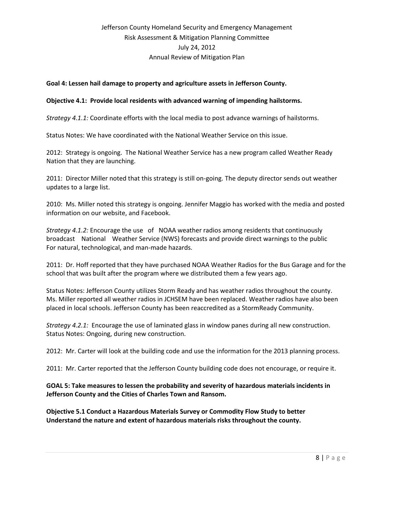#### **Goal 4: Lessen hail damage to property and agriculture assets in Jefferson County.**

#### **Objective 4.1: Provide local residents with advanced warning of impending hailstorms.**

*Strategy 4.1.1:* Coordinate efforts with the local media to post advance warnings of hailstorms.

Status Notes: We have coordinated with the National Weather Service on this issue.

2012: Strategy is ongoing. The National Weather Service has a new program called Weather Ready Nation that they are launching.

2011: Director Miller noted that this strategy is still on-going. The deputy director sends out weather updates to a large list.

2010: Ms. Miller noted this strategy is ongoing. Jennifer Maggio has worked with the media and posted information on our website, and Facebook.

*Strategy 4.1.2:* Encourage the use of NOAA weather radios among residents that continuously broadcast National Weather Service (NWS) forecasts and provide direct warnings to the public For natural, technological, and man-made hazards.

2011: Dr. Hoff reported that they have purchased NOAA Weather Radios for the Bus Garage and for the school that was built after the program where we distributed them a few years ago.

Status Notes: Jefferson County utilizes Storm Ready and has weather radios throughout the county. Ms. Miller reported all weather radios in JCHSEM have been replaced. Weather radios have also been placed in local schools. Jefferson County has been reaccredited as a StormReady Community.

*Strategy 4.2.1:* Encourage the use of laminated glass in window panes during all new construction. Status Notes: Ongoing, during new construction.

2012: Mr. Carter will look at the building code and use the information for the 2013 planning process.

2011: Mr. Carter reported that the Jefferson County building code does not encourage, or require it.

### **GOAL 5: Take measures to lessen the probability and severity of hazardous materials incidents in Jefferson County and the Cities of Charles Town and Ransom.**

**Objective 5.1 Conduct a Hazardous Materials Survey or Commodity Flow Study to better Understand the nature and extent of hazardous materials risks throughout the county.**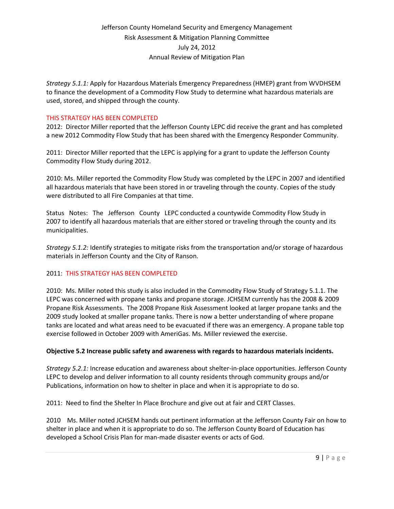*Strategy 5.1.1:* Apply for Hazardous Materials Emergency Preparedness (HMEP) grant from WVDHSEM to finance the development of a Commodity Flow Study to determine what hazardous materials are used, stored, and shipped through the county.

#### THIS STRATEGY HAS BEEN COMPLETED

2012: Director Miller reported that the Jefferson County LEPC did receive the grant and has completed a new 2012 Commodity Flow Study that has been shared with the Emergency Responder Community.

2011: Director Miller reported that the LEPC is applying for a grant to update the Jefferson County Commodity Flow Study during 2012.

2010: Ms. Miller reported the Commodity Flow Study was completed by the LEPC in 2007 and identified all hazardous materials that have been stored in or traveling through the county. Copies of the study were distributed to all Fire Companies at that time.

Status Notes: The Jefferson County LEPC conducted a countywide Commodity Flow Study in 2007 to identify all hazardous materials that are either stored or traveling through the county and its municipalities.

*Strategy 5.1.2:* Identify strategies to mitigate risks from the transportation and/or storage of hazardous materials in Jefferson County and the City of Ranson.

### 2011: THIS STRATEGY HAS BEEN COMPLETED

2010: Ms. Miller noted this study is also included in the Commodity Flow Study of Strategy 5.1.1. The LEPC was concerned with propane tanks and propane storage. JCHSEM currently has the 2008 & 2009 Propane Risk Assessments. The 2008 Propane Risk Assessment looked at larger propane tanks and the 2009 study looked at smaller propane tanks. There is now a better understanding of where propane tanks are located and what areas need to be evacuated if there was an emergency. A propane table top exercise followed in October 2009 with AmeriGas. Ms. Miller reviewed the exercise.

#### **Objective 5.2 Increase public safety and awareness with regards to hazardous materials incidents.**

*Strategy 5.2.1:* Increase education and awareness about shelter-in-place opportunities. Jefferson County LEPC to develop and deliver information to all county residents through community groups and/or Publications, information on how to shelter in place and when it is appropriate to do so.

2011: Need to find the Shelter In Place Brochure and give out at fair and CERT Classes.

2010 Ms. Miller noted JCHSEM hands out pertinent information at the Jefferson County Fair on how to shelter in place and when it is appropriate to do so. The Jefferson County Board of Education has developed a School Crisis Plan for man-made disaster events or acts of God.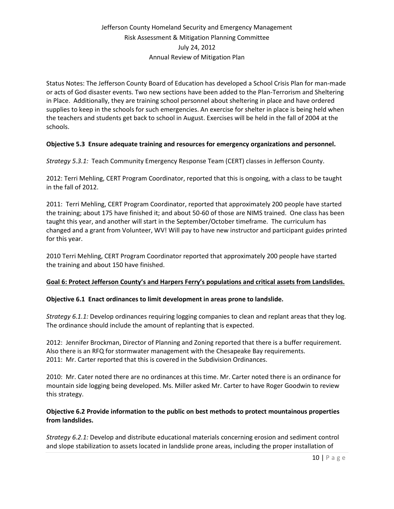Status Notes: The Jefferson County Board of Education has developed a School Crisis Plan for man-made or acts of God disaster events. Two new sections have been added to the Plan-Terrorism and Sheltering in Place. Additionally, they are training school personnel about sheltering in place and have ordered supplies to keep in the schools for such emergencies. An exercise for shelter in place is being held when the teachers and students get back to school in August. Exercises will be held in the fall of 2004 at the schools.

### **Objective 5.3 Ensure adequate training and resources for emergency organizations and personnel.**

*Strategy 5.3.1:* Teach Community Emergency Response Team (CERT) classes in Jefferson County.

2012: Terri Mehling, CERT Program Coordinator, reported that this is ongoing, with a class to be taught in the fall of 2012.

2011: Terri Mehling, CERT Program Coordinator, reported that approximately 200 people have started the training; about 175 have finished it; and about 50-60 of those are NIMS trained. One class has been taught this year, and another will start in the September/October timeframe. The curriculum has changed and a grant from Volunteer, WV! Will pay to have new instructor and participant guides printed for this year.

2010 Terri Mehling, CERT Program Coordinator reported that approximately 200 people have started the training and about 150 have finished.

#### **Goal 6: Protect Jefferson County's and Harpers Ferry's populations and critical assets from Landslides.**

#### **Objective 6.1 Enact ordinances to limit development in areas prone to landslide.**

*Strategy 6.1.1:* Develop ordinances requiring logging companies to clean and replant areas that they log. The ordinance should include the amount of replanting that is expected.

2012: Jennifer Brockman, Director of Planning and Zoning reported that there is a buffer requirement. Also there is an RFQ for stormwater management with the Chesapeake Bay requirements. 2011: Mr. Carter reported that this is covered in the Subdivision Ordinances.

2010: Mr. Cater noted there are no ordinances at this time. Mr. Carter noted there is an ordinance for mountain side logging being developed. Ms. Miller asked Mr. Carter to have Roger Goodwin to review this strategy.

### **Objective 6.2 Provide information to the public on best methods to protect mountainous properties from landslides.**

*Strategy 6.2.1:* Develop and distribute educational materials concerning erosion and sediment control and slope stabilization to assets located in landslide prone areas, including the proper installation of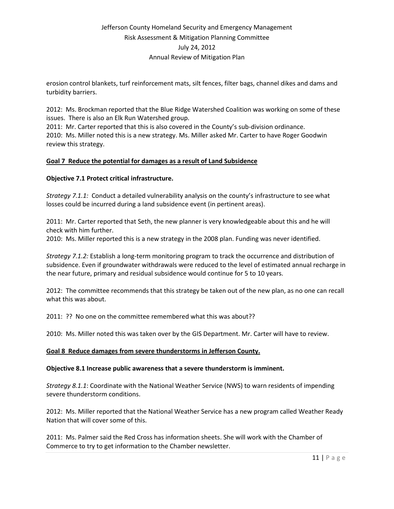erosion control blankets, turf reinforcement mats, silt fences, filter bags, channel dikes and dams and turbidity barriers.

2012: Ms. Brockman reported that the Blue Ridge Watershed Coalition was working on some of these issues. There is also an Elk Run Watershed group.

2011: Mr. Carter reported that this is also covered in the County's sub-division ordinance. 2010: Ms. Miller noted this is a new strategy. Ms. Miller asked Mr. Carter to have Roger Goodwin review this strategy.

### **Goal 7 Reduce the potential for damages as a result of Land Subsidence**

### **Objective 7.1 Protect critical infrastructure.**

*Strategy 7.1.1:* Conduct a detailed vulnerability analysis on the county's infrastructure to see what losses could be incurred during a land subsidence event (in pertinent areas).

2011: Mr. Carter reported that Seth, the new planner is very knowledgeable about this and he will check with him further.

2010: Ms. Miller reported this is a new strategy in the 2008 plan. Funding was never identified.

*Strategy 7.1.2:* Establish a long-term monitoring program to track the occurrence and distribution of subsidence. Even if groundwater withdrawals were reduced to the level of estimated annual recharge in the near future, primary and residual subsidence would continue for 5 to 10 years.

2012: The committee recommends that this strategy be taken out of the new plan, as no one can recall what this was about.

2011: ?? No one on the committee remembered what this was about??

2010: Ms. Miller noted this was taken over by the GIS Department. Mr. Carter will have to review.

#### **Goal 8 Reduce damages from severe thunderstorms in Jefferson County.**

#### **Objective 8.1 Increase public awareness that a severe thunderstorm is imminent.**

*Strategy 8.1.1*: Coordinate with the National Weather Service (NWS) to warn residents of impending severe thunderstorm conditions.

2012: Ms. Miller reported that the National Weather Service has a new program called Weather Ready Nation that will cover some of this.

2011: Ms. Palmer said the Red Cross has information sheets. She will work with the Chamber of Commerce to try to get information to the Chamber newsletter.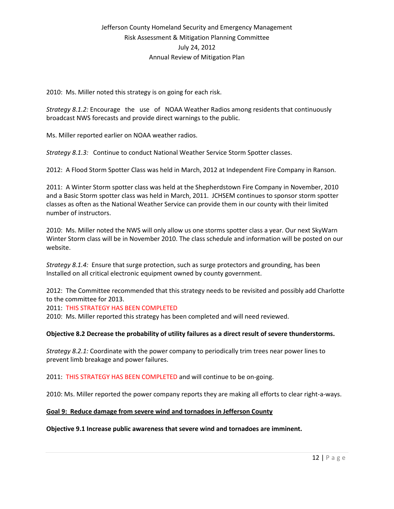2010: Ms. Miller noted this strategy is on going for each risk.

*Strategy 8.1.2:* Encourage the use of NOAA Weather Radios among residents that continuously broadcast NWS forecasts and provide direct warnings to the public.

Ms. Miller reported earlier on NOAA weather radios.

*Strategy 8.1.3:* Continue to conduct National Weather Service Storm Spotter classes.

2012: A Flood Storm Spotter Class was held in March, 2012 at Independent Fire Company in Ranson.

2011: A Winter Storm spotter class was held at the Shepherdstown Fire Company in November, 2010 and a Basic Storm spotter class was held in March, 2011. JCHSEM continues to sponsor storm spotter classes as often as the National Weather Service can provide them in our county with their limited number of instructors.

2010: Ms. Miller noted the NWS will only allow us one storms spotter class a year. Our next SkyWarn Winter Storm class will be in November 2010. The class schedule and information will be posted on our website.

*Strategy 8.1.4:* Ensure that surge protection, such as surge protectors and grounding, has been Installed on all critical electronic equipment owned by county government.

2012: The Committee recommended that this strategy needs to be revisited and possibly add Charlotte to the committee for 2013.

2011: THIS STRATEGY HAS BEEN COMPLETED

2010: Ms. Miller reported this strategy has been completed and will need reviewed.

#### **Objective 8.2 Decrease the probability of utility failures as a direct result of severe thunderstorms.**

*Strategy 8.2.1:* Coordinate with the power company to periodically trim trees near power lines to prevent limb breakage and power failures.

2011: THIS STRATEGY HAS BEEN COMPLETED and will continue to be on-going.

2010: Ms. Miller reported the power company reports they are making all efforts to clear right-a-ways.

#### **Goal 9: Reduce damage from severe wind and tornadoes in Jefferson County**

#### **Objective 9.1 Increase public awareness that severe wind and tornadoes are imminent.**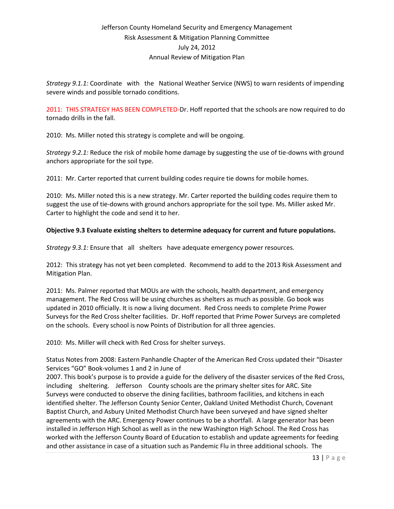*Strategy 9.1.1:* Coordinate with the National Weather Service (NWS) to warn residents of impending severe winds and possible tornado conditions.

2011: THIS STRATEGY HAS BEEN COMPLETED-Dr. Hoff reported that the schools are now required to do tornado drills in the fall.

2010: Ms. Miller noted this strategy is complete and will be ongoing.

*Strategy 9.2.1:* Reduce the risk of mobile home damage by suggesting the use of tie-downs with ground anchors appropriate for the soil type.

2011: Mr. Carter reported that current building codes require tie downs for mobile homes.

2010: Ms. Miller noted this is a new strategy. Mr. Carter reported the building codes require them to suggest the use of tie-downs with ground anchors appropriate for the soil type. Ms. Miller asked Mr. Carter to highlight the code and send it to her.

### **Objective 9.3 Evaluate existing shelters to determine adequacy for current and future populations.**

*Strategy 9.3.1:* Ensure that all shelters have adequate emergency power resources.

2012: This strategy has not yet been completed. Recommend to add to the 2013 Risk Assessment and Mitigation Plan.

2011: Ms. Palmer reported that MOUs are with the schools, health department, and emergency management. The Red Cross will be using churches as shelters as much as possible. Go book was updated in 2010 officially. It is now a living document. Red Cross needs to complete Prime Power Surveys for the Red Cross shelter facilities. Dr. Hoff reported that Prime Power Surveys are completed on the schools. Every school is now Points of Distribution for all three agencies.

2010: Ms. Miller will check with Red Cross for shelter surveys.

Status Notes from 2008: Eastern Panhandle Chapter of the American Red Cross updated their "Disaster Services "GO" Book-volumes 1 and 2 in June of

2007. This book's purpose is to provide a guide for the delivery of the disaster services of the Red Cross, including sheltering. Jefferson County schools are the primary shelter sites for ARC. Site Surveys were conducted to observe the dining facilities, bathroom facilities, and kitchens in each identified shelter. The Jefferson County Senior Center, Oakland United Methodist Church, Covenant Baptist Church, and Asbury United Methodist Church have been surveyed and have signed shelter agreements with the ARC. Emergency Power continues to be a shortfall. A large generator has been installed in Jefferson High School as well as in the new Washington High School. The Red Cross has worked with the Jefferson County Board of Education to establish and update agreements for feeding and other assistance in case of a situation such as Pandemic Flu in three additional schools. The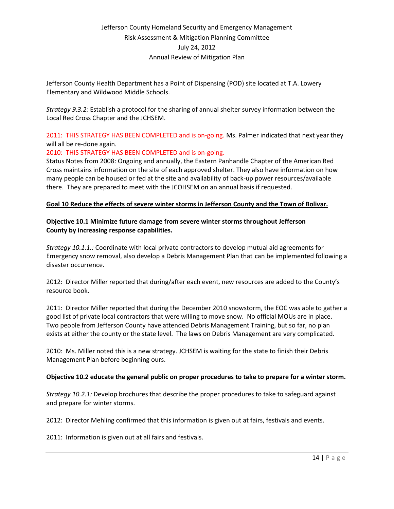Jefferson County Health Department has a Point of Dispensing (POD) site located at T.A. Lowery Elementary and Wildwood Middle Schools.

*Strategy 9.3.2:* Establish a protocol for the sharing of annual shelter survey information between the Local Red Cross Chapter and the JCHSEM.

2011: THIS STRATEGY HAS BEEN COMPLETED and is on-going. Ms. Palmer indicated that next year they will all be re-done again.

### 2010: THIS STRATEGY HAS BEEN COMPLETED and is on-going.

Status Notes from 2008: Ongoing and annually, the Eastern Panhandle Chapter of the American Red Cross maintains information on the site of each approved shelter. They also have information on how many people can be housed or fed at the site and availability of back-up power resources/available there. They are prepared to meet with the JCOHSEM on an annual basis if requested.

### **Goal 10 Reduce the effects of severe winter storms in Jefferson County and the Town of Bolivar.**

### **Objective 10.1 Minimize future damage from severe winter storms throughout Jefferson County by increasing response capabilities.**

*Strategy 10.1.1.:* Coordinate with local private contractors to develop mutual aid agreements for Emergency snow removal, also develop a Debris Management Plan that can be implemented following a disaster occurrence.

2012: Director Miller reported that during/after each event, new resources are added to the County's resource book.

2011: Director Miller reported that during the December 2010 snowstorm, the EOC was able to gather a good list of private local contractors that were willing to move snow. No official MOUs are in place. Two people from Jefferson County have attended Debris Management Training, but so far, no plan exists at either the county or the state level. The laws on Debris Management are very complicated.

2010: Ms. Miller noted this is a new strategy. JCHSEM is waiting for the state to finish their Debris Management Plan before beginning ours.

#### **Objective 10.2 educate the general public on proper procedures to take to prepare for a winter storm.**

*Strategy 10.2.1:* Develop brochures that describe the proper procedures to take to safeguard against and prepare for winter storms.

2012: Director Mehling confirmed that this information is given out at fairs, festivals and events.

2011: Information is given out at all fairs and festivals.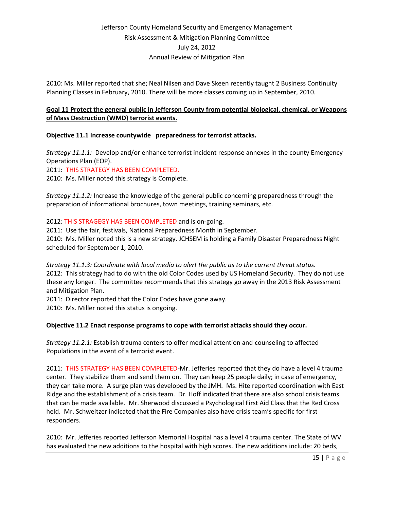2010: Ms. Miller reported that she; Neal Nilsen and Dave Skeen recently taught 2 Business Continuity Planning Classes in February, 2010. There will be more classes coming up in September, 2010.

### **Goal 11 Protect the general public in Jefferson County from potential biological, chemical, or Weapons of Mass Destruction (WMD) terrorist events.**

### **Objective 11.1 Increase countywide preparedness for terrorist attacks.**

*Strategy 11.1.1:* Develop and/or enhance terrorist incident response annexes in the county Emergency Operations Plan (EOP).

2011: THIS STRATEGY HAS BEEN COMPLETED.

2010: Ms. Miller noted this strategy is Complete.

*Strategy 11.1.2:* Increase the knowledge of the general public concerning preparedness through the preparation of informational brochures, town meetings, training seminars, etc.

2012: THIS STRAGEGY HAS BEEN COMPLETED and is on-going.

2011: Use the fair, festivals, National Preparedness Month in September.

2010: Ms. Miller noted this is a new strategy. JCHSEM is holding a Family Disaster Preparedness Night scheduled for September 1, 2010.

*Strategy 11.1.3: Coordinate with local media to alert the public as to the current threat status.* 2012: This strategy had to do with the old Color Codes used by US Homeland Security. They do not use these any longer. The committee recommends that this strategy go away in the 2013 Risk Assessment and Mitigation Plan.

2011: Director reported that the Color Codes have gone away.

2010: Ms. Miller noted this status is ongoing.

### **Objective 11.2 Enact response programs to cope with terrorist attacks should they occur.**

*Strategy 11.2.1:* Establish trauma centers to offer medical attention and counseling to affected Populations in the event of a terrorist event.

2011: THIS STRATEGY HAS BEEN COMPLETED-Mr. Jefferies reported that they do have a level 4 trauma center. They stabilize them and send them on. They can keep 25 people daily; in case of emergency, they can take more. A surge plan was developed by the JMH. Ms. Hite reported coordination with East Ridge and the establishment of a crisis team. Dr. Hoff indicated that there are also school crisis teams that can be made available. Mr. Sherwood discussed a Psychological First Aid Class that the Red Cross held. Mr. Schweitzer indicated that the Fire Companies also have crisis team's specific for first responders.

2010: Mr. Jefferies reported Jefferson Memorial Hospital has a level 4 trauma center. The State of WV has evaluated the new additions to the hospital with high scores. The new additions include: 20 beds,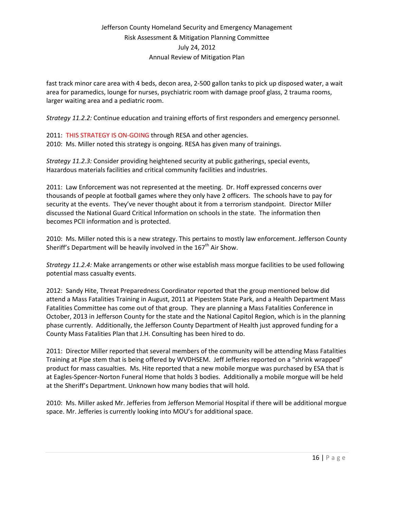fast track minor care area with 4 beds, decon area, 2-500 gallon tanks to pick up disposed water, a wait area for paramedics, lounge for nurses, psychiatric room with damage proof glass, 2 trauma rooms, larger waiting area and a pediatric room.

*Strategy 11.2.2:* Continue education and training efforts of first responders and emergency personnel.

2011: THIS STRATEGY IS ON-GOING through RESA and other agencies. 2010: Ms. Miller noted this strategy is ongoing. RESA has given many of trainings.

*Strategy 11.2.3:* Consider providing heightened security at public gatherings, special events, Hazardous materials facilities and critical community facilities and industries.

2011: Law Enforcement was not represented at the meeting. Dr. Hoff expressed concerns over thousands of people at football games where they only have 2 officers. The schools have to pay for security at the events. They've never thought about it from a terrorism standpoint. Director Miller discussed the National Guard Critical Information on schools in the state. The information then becomes PCII information and is protected.

2010: Ms. Miller noted this is a new strategy. This pertains to mostly law enforcement. Jefferson County Sheriff's Department will be heavily involved in the  $167<sup>th</sup>$  Air Show.

*Strategy 11.2.4:* Make arrangements or other wise establish mass morgue facilities to be used following potential mass casualty events.

2012: Sandy Hite, Threat Preparedness Coordinator reported that the group mentioned below did attend a Mass Fatalities Training in August, 2011 at Pipestem State Park, and a Health Department Mass Fatalities Committee has come out of that group. They are planning a Mass Fatalities Conference in October, 2013 in Jefferson County for the state and the National Capitol Region, which is in the planning phase currently. Additionally, the Jefferson County Department of Health just approved funding for a County Mass Fatalities Plan that J.H. Consulting has been hired to do.

2011: Director Miller reported that several members of the community will be attending Mass Fatalities Training at Pipe stem that is being offered by WVDHSEM. Jeff Jefferies reported on a "shrink wrapped" product for mass casualties. Ms. Hite reported that a new mobile morgue was purchased by ESA that is at Eagles-Spencer-Norton Funeral Home that holds 3 bodies. Additionally a mobile morgue will be held at the Sheriff's Department. Unknown how many bodies that will hold.

2010: Ms. Miller asked Mr. Jefferies from Jefferson Memorial Hospital if there will be additional morgue space. Mr. Jefferies is currently looking into MOU's for additional space.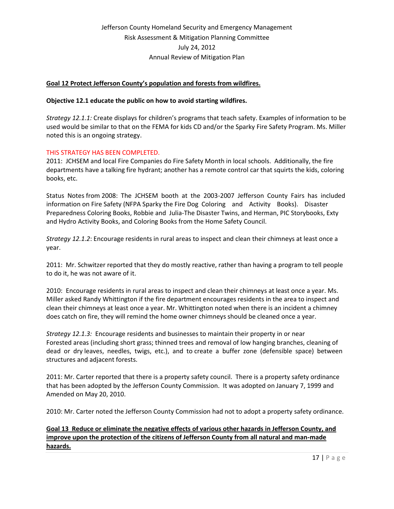### **Goal 12 Protect Jefferson County's population and forests from wildfires.**

#### **Objective 12.1 educate the public on how to avoid starting wildfires.**

*Strategy 12.1.1:* Create displays for children's programs that teach safety. Examples of information to be used would be similar to that on the FEMA for kids CD and/or the Sparky Fire Safety Program. Ms. Miller noted this is an ongoing strategy.

#### THIS STRATEGY HAS BEEN COMPLETED.

2011: JCHSEM and local Fire Companies do Fire Safety Month in local schools. Additionally, the fire departments have a talking fire hydrant; another has a remote control car that squirts the kids, coloring books, etc.

Status Notes from 2008: The JCHSEM booth at the 2003-2007 Jefferson County Fairs has included information on Fire Safety (NFPA Sparky the Fire Dog Coloring and Activity Books). Disaster Preparedness Coloring Books, Robbie and Julia-The Disaster Twins, and Herman, PIC Storybooks, Exty and Hydro Activity Books, and Coloring Books from the Home Safety Council.

*Strategy 12.1.2*: Encourage residents in rural areas to inspect and clean their chimneys at least once a year.

2011: Mr. Schwitzer reported that they do mostly reactive, rather than having a program to tell people to do it, he was not aware of it.

2010: Encourage residents in rural areas to inspect and clean their chimneys at least once a year. Ms. Miller asked Randy Whittington if the fire department encourages residents in the area to inspect and clean their chimneys at least once a year. Mr. Whittington noted when there is an incident a chimney does catch on fire, they will remind the home owner chimneys should be cleaned once a year.

*Strategy 12.1.3:* Encourage residents and businesses to maintain their property in or near Forested areas (including short grass; thinned trees and removal of low hanging branches, cleaning of dead or dry leaves, needles, twigs, etc.), and to create a buffer zone (defensible space) between structures and adjacent forests.

2011: Mr. Carter reported that there is a property safety council. There is a property safety ordinance that has been adopted by the Jefferson County Commission. It was adopted on January 7, 1999 and Amended on May 20, 2010.

2010: Mr. Carter noted the Jefferson County Commission had not to adopt a property safety ordinance.

### **Goal 13 Reduce or eliminate the negative effects of various other hazards in Jefferson County, and improve upon the protection of the citizens of Jefferson County from all natural and man-made hazards.**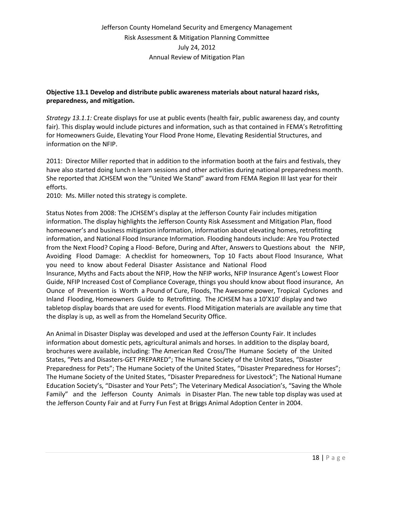### **Objective 13.1 Develop and distribute public awareness materials about natural hazard risks, preparedness, and mitigation.**

*Strategy 13.1.1:* Create displays for use at public events (health fair, public awareness day, and county fair). This display would include pictures and information, such as that contained in FEMA's Retrofitting for Homeowners Guide, Elevating Your Flood Prone Home, Elevating Residential Structures, and information on the NFIP.

2011: Director Miller reported that in addition to the information booth at the fairs and festivals, they have also started doing lunch n learn sessions and other activities during national preparedness month. She reported that JCHSEM won the "United We Stand" award from FEMA Region III last year for their efforts.

2010: Ms. Miller noted this strategy is complete.

Status Notes from 2008: The JCHSEM's display at the Jefferson County Fair includes mitigation information. The display highlights the Jefferson County Risk Assessment and Mitigation Plan, flood homeowner's and business mitigation information, information about elevating homes, retrofitting information, and National Flood Insurance Information. Flooding handouts include: Are You Protected from the Next Flood? Coping a Flood- Before, During and After, Answers to Questions about the NFIP, Avoiding Flood Damage: A checklist for homeowners, Top 10 Facts about Flood Insurance, What you need to know about Federal Disaster Assistance and National Flood Insurance, Myths and Facts about the NFIP, How the NFIP works, NFIP Insurance Agent's Lowest Floor Guide, NFIP Increased Cost of Compliance Coverage, things you should know about flood insurance, An Ounce of Prevention is Worth a Pound of Cure, Floods, The Awesome power, Tropical Cyclones and Inland Flooding, Homeowners Guide to Retrofitting. The JCHSEM has a 10'X10' display and two tabletop display boards that are used for events. Flood Mitigation materials are available any time that the display is up, as well as from the Homeland Security Office.

An Animal in Disaster Display was developed and used at the Jefferson County Fair. It includes information about domestic pets, agricultural animals and horses. In addition to the display board, brochures were available, including: The American Red Cross/The Humane Society of the United States, "Pets and Disasters-GET PREPARED"; The Humane Society of the United States, "Disaster Preparedness for Pets"; The Humane Society of the United States, "Disaster Preparedness for Horses"; The Humane Society of the United States, "Disaster Preparedness for Livestock"; The National Humane Education Society's, "Disaster and Your Pets"; The Veterinary Medical Association's, "Saving the Whole Family" and the Jefferson County Animals in Disaster Plan. The new table top display was used at the Jefferson County Fair and at Furry Fun Fest at Briggs Animal Adoption Center in 2004.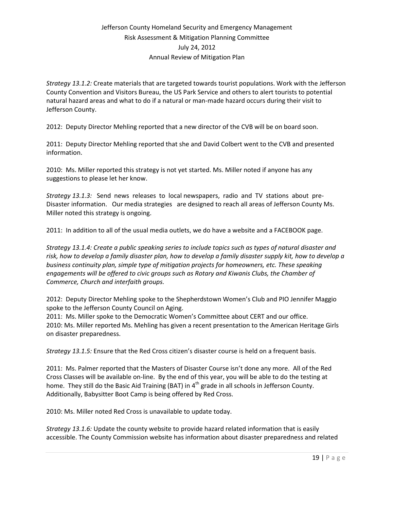*Strategy 13.1.2:* Create materials that are targeted towards tourist populations. Work with the Jefferson County Convention and Visitors Bureau, the US Park Service and others to alert tourists to potential natural hazard areas and what to do if a natural or man-made hazard occurs during their visit to Jefferson County.

2012: Deputy Director Mehling reported that a new director of the CVB will be on board soon.

2011: Deputy Director Mehling reported that she and David Colbert went to the CVB and presented information.

2010: Ms. Miller reported this strategy is not yet started. Ms. Miller noted if anyone has any suggestions to please let her know.

*Strategy 13.1.3:* Send news releases to local newspapers, radio and TV stations about pre-Disaster information. Our media strategies are designed to reach all areas of Jefferson County Ms. Miller noted this strategy is ongoing.

2011: In addition to all of the usual media outlets, we do have a website and a FACEBOOK page.

*Strategy 13.1.4: Create a public speaking series to include topics such as types of natural disaster and risk, how to develop a family disaster plan, how to develop a family disaster supply kit, how to develop a business continuity plan, simple type of mitigation projects for homeowners, etc. These speaking engagements will be offered to civic groups such as Rotary and Kiwanis Clubs, the Chamber of Commerce, Church and interfaith groups.*

2012: Deputy Director Mehling spoke to the Shepherdstown Women's Club and PIO Jennifer Maggio spoke to the Jefferson County Council on Aging.

2011: Ms. Miller spoke to the Democratic Women's Committee about CERT and our office. 2010: Ms. Miller reported Ms. Mehling has given a recent presentation to the American Heritage Girls on disaster preparedness.

*Strategy 13.1.5:* Ensure that the Red Cross citizen's disaster course is held on a frequent basis.

2011: Ms. Palmer reported that the Masters of Disaster Course isn't done any more. All of the Red Cross Classes will be available on-line. By the end of this year, you will be able to do the testing at home. They still do the Basic Aid Training (BAT) in  $4<sup>th</sup>$  grade in all schools in Jefferson County. Additionally, Babysitter Boot Camp is being offered by Red Cross.

2010: Ms. Miller noted Red Cross is unavailable to update today.

*Strategy 13.1.6:* Update the county website to provide hazard related information that is easily accessible. The County Commission website has information about disaster preparedness and related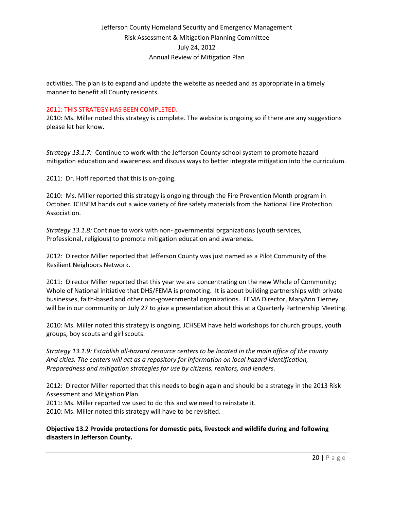activities. The plan is to expand and update the website as needed and as appropriate in a timely manner to benefit all County residents.

#### 2011: THIS STRATEGY HAS BEEN COMPLETED.

2010: Ms. Miller noted this strategy is complete. The website is ongoing so if there are any suggestions please let her know.

*Strategy 13.1.7:* Continue to work with the Jefferson County school system to promote hazard mitigation education and awareness and discuss ways to better integrate mitigation into the curriculum.

2011: Dr. Hoff reported that this is on-going.

2010: Ms. Miller reported this strategy is ongoing through the Fire Prevention Month program in October. JCHSEM hands out a wide variety of fire safety materials from the National Fire Protection Association.

*Strategy 13.1.8:* Continue to work with non- governmental organizations (youth services, Professional, religious) to promote mitigation education and awareness.

2012: Director Miller reported that Jefferson County was just named as a Pilot Community of the Resilient Neighbors Network.

2011: Director Miller reported that this year we are concentrating on the new Whole of Community; Whole of National initiative that DHS/FEMA is promoting. It is about building partnerships with private businesses, faith-based and other non-governmental organizations. FEMA Director, MaryAnn Tierney will be in our community on July 27 to give a presentation about this at a Quarterly Partnership Meeting.

2010: Ms. Miller noted this strategy is ongoing. JCHSEM have held workshops for church groups, youth groups, boy scouts and girl scouts.

*Strategy 13.1.9: Establish all-hazard resource centers to be located in the main office of the county And cities. The centers will act as a repository for information on local hazard identification, Preparedness and mitigation strategies for use by citizens, realtors, and lenders.*

2012: Director Miller reported that this needs to begin again and should be a strategy in the 2013 Risk Assessment and Mitigation Plan.

2011: Ms. Miller reported we used to do this and we need to reinstate it.

2010: Ms. Miller noted this strategy will have to be revisited.

### **Objective 13.2 Provide protections for domestic pets, livestock and wildlife during and following disasters in Jefferson County.**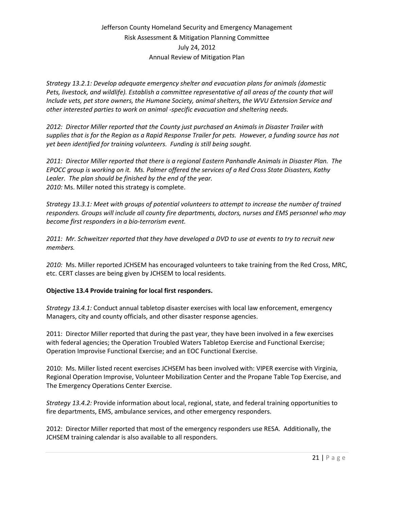*Strategy 13.2.1: Develop adequate emergency shelter and evacuation plans for animals (domestic Pets, livestock, and wildlife). Establish a committee representative of all areas of the county that will Include vets, pet store owners, the Humane Society, animal shelters, the WVU Extension Service and other interested parties to work on animal -specific evacuation and sheltering needs.*

*2012: Director Miller reported that the County just purchased an Animals in Disaster Trailer with supplies that is for the Region as a Rapid Response Trailer for pets. However, a funding source has not yet been identified for training volunteers. Funding is still being sought.*

*2011: Director Miller reported that there is a regional Eastern Panhandle Animals in Disaster Plan. The EPOCC group is working on it. Ms. Palmer offered the services of a Red Cross State Disasters, Kathy Lealer. The plan should be finished by the end of the year. 2010:* Ms. Miller noted this strategy is complete.

*Strategy 13.3.1: Meet with groups of potential volunteers to attempt to increase the number of trained responders. Groups will include all county fire departments, doctors, nurses and EMS personnel who may become first responders in a bio-terrorism event.*

*2011: Mr. Schweitzer reported that they have developed a DVD to use at events to try to recruit new members.* 

*2010:* Ms. Miller reported JCHSEM has encouraged volunteers to take training from the Red Cross, MRC, etc. CERT classes are being given by JCHSEM to local residents.

### **Objective 13.4 Provide training for local first responders.**

*Strategy 13.4.1:* Conduct annual tabletop disaster exercises with local law enforcement, emergency Managers, city and county officials, and other disaster response agencies.

2011: Director Miller reported that during the past year, they have been involved in a few exercises with federal agencies; the Operation Troubled Waters Tabletop Exercise and Functional Exercise; Operation Improvise Functional Exercise; and an EOC Functional Exercise.

2010: Ms. Miller listed recent exercises JCHSEM has been involved with: VIPER exercise with Virginia, Regional Operation Improvise, Volunteer Mobilization Center and the Propane Table Top Exercise, and The Emergency Operations Center Exercise.

*Strategy 13.4.2:* Provide information about local, regional, state, and federal training opportunities to fire departments, EMS, ambulance services, and other emergency responders.

2012: Director Miller reported that most of the emergency responders use RESA. Additionally, the JCHSEM training calendar is also available to all responders.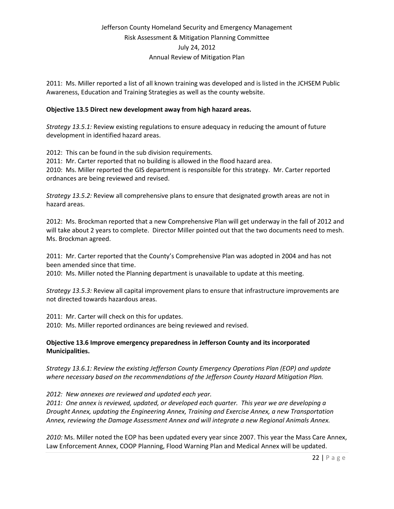2011: Ms. Miller reported a list of all known training was developed and is listed in the JCHSEM Public Awareness, Education and Training Strategies as well as the county website.

### **Objective 13.5 Direct new development away from high hazard areas.**

*Strategy 13.5.1:* Review existing regulations to ensure adequacy in reducing the amount of future development in identified hazard areas.

2012: This can be found in the sub division requirements. 2011: Mr. Carter reported that no building is allowed in the flood hazard area. 2010: Ms. Miller reported the GIS department is responsible for this strategy. Mr. Carter reported ordnances are being reviewed and revised.

*Strategy 13.5.2:* Review all comprehensive plans to ensure that designated growth areas are not in hazard areas.

2012: Ms. Brockman reported that a new Comprehensive Plan will get underway in the fall of 2012 and will take about 2 years to complete. Director Miller pointed out that the two documents need to mesh. Ms. Brockman agreed.

2011: Mr. Carter reported that the County's Comprehensive Plan was adopted in 2004 and has not been amended since that time.

2010: Ms. Miller noted the Planning department is unavailable to update at this meeting.

*Strategy 13.5.3:* Review all capital improvement plans to ensure that infrastructure improvements are not directed towards hazardous areas.

2011: Mr. Carter will check on this for updates.

2010: Ms. Miller reported ordinances are being reviewed and revised.

### **Objective 13.6 Improve emergency preparedness in Jefferson County and its incorporated Municipalities.**

*Strategy 13.6.1: Review the existing Jefferson County Emergency Operations Plan (EOP) and update where necessary based on the recommendations of the Jefferson County Hazard Mitigation Plan.*

*2012: New annexes are reviewed and updated each year.*

*2011: One annex is reviewed, updated, or developed each quarter. This year we are developing a Drought Annex, updating the Engineering Annex, Training and Exercise Annex, a new Transportation Annex, reviewing the Damage Assessment Annex and will integrate a new Regional Animals Annex.*

*2010:* Ms. Miller noted the EOP has been updated every year since 2007. This year the Mass Care Annex, Law Enforcement Annex, COOP Planning, Flood Warning Plan and Medical Annex will be updated.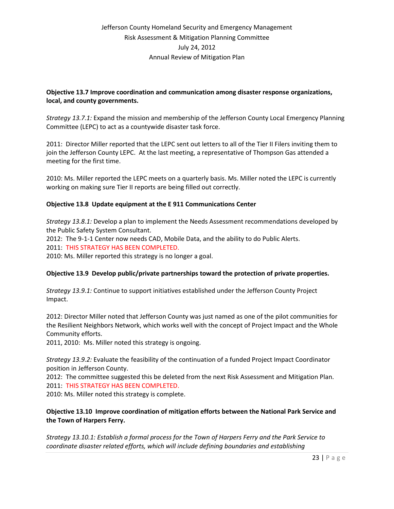### **Objective 13.7 Improve coordination and communication among disaster response organizations, local, and county governments.**

*Strategy 13.7.1:* Expand the mission and membership of the Jefferson County Local Emergency Planning Committee (LEPC) to act as a countywide disaster task force.

2011: Director Miller reported that the LEPC sent out letters to all of the Tier II Filers inviting them to join the Jefferson County LEPC. At the last meeting, a representative of Thompson Gas attended a meeting for the first time.

2010: Ms. Miller reported the LEPC meets on a quarterly basis. Ms. Miller noted the LEPC is currently working on making sure Tier II reports are being filled out correctly.

### **Objective 13.8 Update equipment at the E 911 Communications Center**

*Strategy 13.8.1:* Develop a plan to implement the Needs Assessment recommendations developed by the Public Safety System Consultant.

2012: The 9-1-1 Center now needs CAD, Mobile Data, and the ability to do Public Alerts. 2011: THIS STRATEGY HAS BEEN COMPLETED.

2010: Ms. Miller reported this strategy is no longer a goal.

#### **Objective 13.9 Develop public/private partnerships toward the protection of private properties.**

*Strategy 13.9.1:* Continue to support initiatives established under the Jefferson County Project Impact.

2012: Director Miller noted that Jefferson County was just named as one of the pilot communities for the Resilient Neighbors Network, which works well with the concept of Project Impact and the Whole Community efforts.

2011, 2010: Ms. Miller noted this strategy is ongoing.

*Strategy 13.9.2:* Evaluate the feasibility of the continuation of a funded Project Impact Coordinator position in Jefferson County.

2012: The committee suggested this be deleted from the next Risk Assessment and Mitigation Plan. 2011: THIS STRATEGY HAS BEEN COMPLETED.

2010: Ms. Miller noted this strategy is complete.

### **Objective 13.10 Improve coordination of mitigation efforts between the National Park Service and the Town of Harpers Ferry.**

*Strategy 13.10.1: Establish a formal process for the Town of Harpers Ferry and the Park Service to coordinate disaster related efforts, which will include defining boundaries and establishing*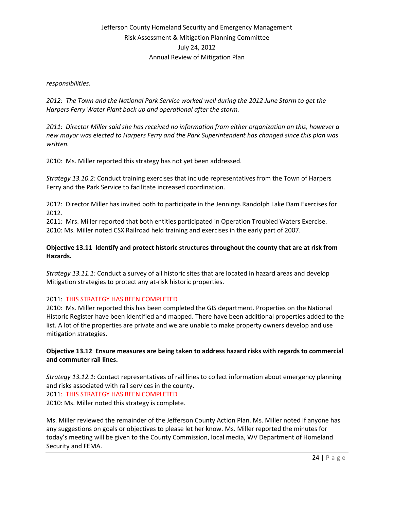#### *responsibilities.*

*2012: The Town and the National Park Service worked well during the 2012 June Storm to get the Harpers Ferry Water Plant back up and operational after the storm.*

*2011: Director Miller said she has received no information from either organization on this, however a new mayor was elected to Harpers Ferry and the Park Superintendent has changed since this plan was written.*

2010: Ms. Miller reported this strategy has not yet been addressed.

*Strategy 13.10.2:* Conduct training exercises that include representatives from the Town of Harpers Ferry and the Park Service to facilitate increased coordination.

2012: Director Miller has invited both to participate in the Jennings Randolph Lake Dam Exercises for 2012.

2011: Mrs. Miller reported that both entities participated in Operation Troubled Waters Exercise. 2010: Ms. Miller noted CSX Railroad held training and exercises in the early part of 2007.

### **Objective 13.11 Identify and protect historic structures throughout the county that are at risk from Hazards.**

*Strategy 13.11.1:* Conduct a survey of all historic sites that are located in hazard areas and develop Mitigation strategies to protect any at-risk historic properties.

#### 2011: THIS STRATEGY HAS BEEN COMPLETED

2010: Ms. Miller reported this has been completed the GIS department. Properties on the National Historic Register have been identified and mapped. There have been additional properties added to the list. A lot of the properties are private and we are unable to make property owners develop and use mitigation strategies.

### **Objective 13.12 Ensure measures are being taken to address hazard risks with regards to commercial and commuter rail lines.**

*Strategy 13.12.1:* Contact representatives of rail lines to collect information about emergency planning and risks associated with rail services in the county. 2011: THIS STRATEGY HAS BEEN COMPLETED

2010: Ms. Miller noted this strategy is complete.

Ms. Miller reviewed the remainder of the Jefferson County Action Plan. Ms. Miller noted if anyone has any suggestions on goals or objectives to please let her know. Ms. Miller reported the minutes for today's meeting will be given to the County Commission, local media, WV Department of Homeland Security and FEMA.